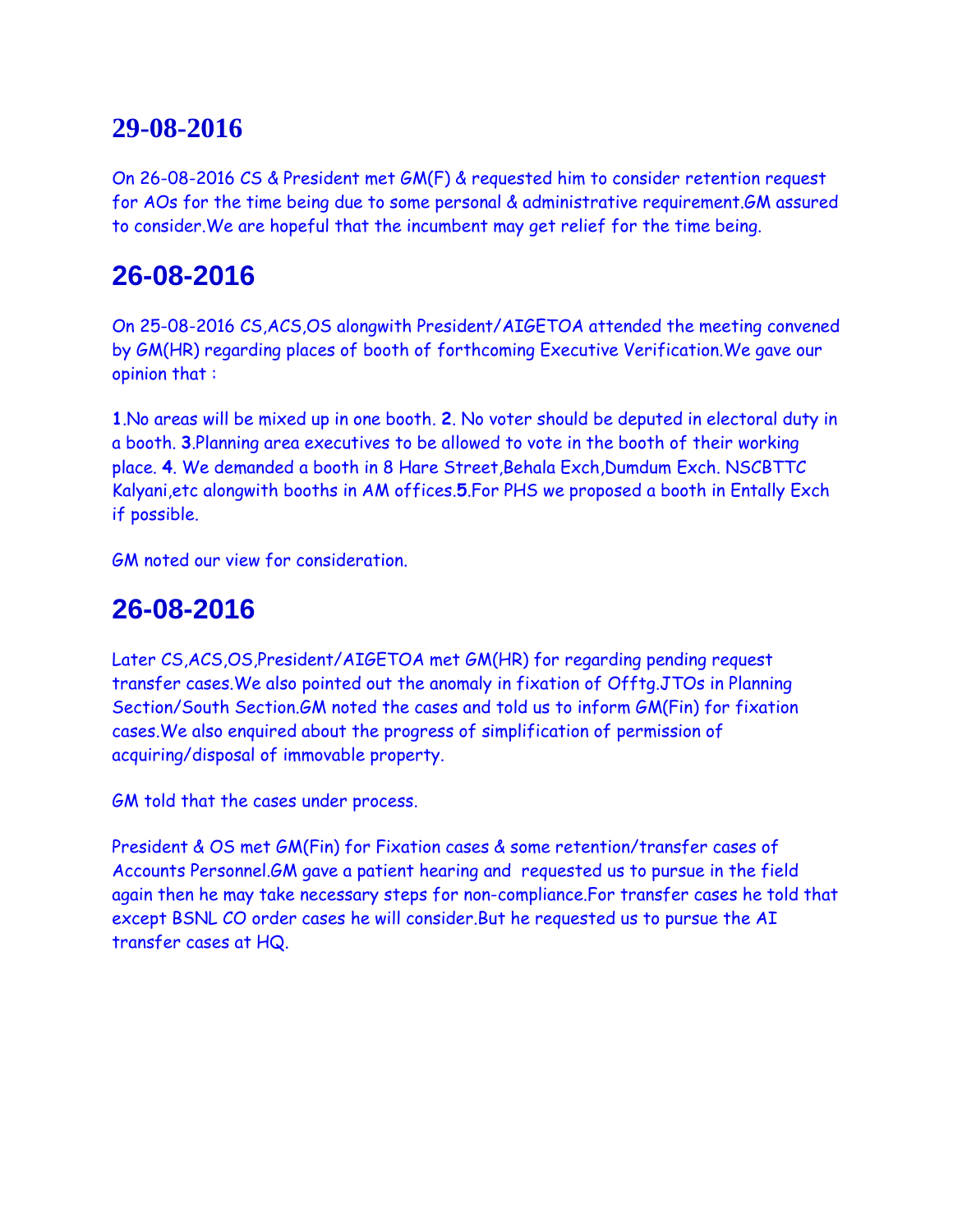On 26-08-2016 CS & President met GM(F) & requested him to consider retention request for AOs for the time being due to some personal & administrative requirement.GM assured to consider.We are hopeful that the incumbent may get relief for the time being.

# **26-08-2016**

On 25-08-2016 CS,ACS,OS alongwith President/AIGETOA attended the meeting convened by GM(HR) regarding places of booth of forthcoming Executive Verification.We gave our opinion that :

**1**.No areas will be mixed up in one booth. **2**. No voter should be deputed in electoral duty in a booth. **3**.Planning area executives to be allowed to vote in the booth of their working place. **4**. We demanded a booth in 8 Hare Street,Behala Exch,Dumdum Exch. NSCBTTC Kalyani,etc alongwith booths in AM offices.**5**.For PHS we proposed a booth in Entally Exch if possible.

GM noted our view for consideration.

## **26-08-2016**

Later CS,ACS,OS,President/AIGETOA met GM(HR) for regarding pending request transfer cases.We also pointed out the anomaly in fixation of Offtg.JTOs in Planning Section/South Section.GM noted the cases and told us to inform GM(Fin) for fixation cases.We also enquired about the progress of simplification of permission of acquiring/disposal of immovable property.

GM told that the cases under process.

President & OS met GM(Fin) for Fixation cases & some retention/transfer cases of Accounts Personnel.GM gave a patient hearing and requested us to pursue in the field again then he may take necessary steps for non-compliance.For transfer cases he told that except BSNL CO order cases he will consider.But he requested us to pursue the AI transfer cases at HQ.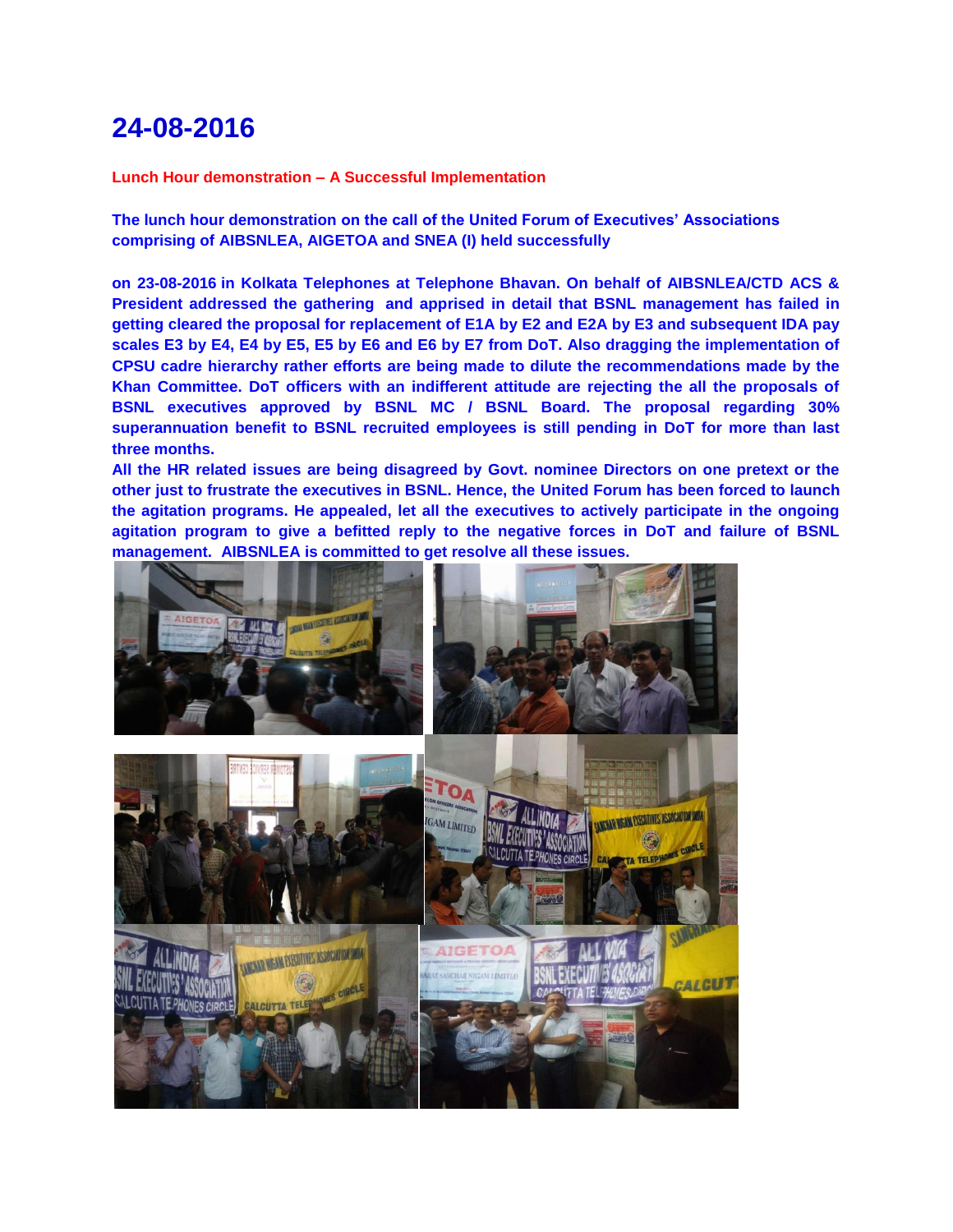**Lunch Hour demonstration – A Successful Implementation**

**The lunch hour demonstration on the call of the United Forum of Executives' Associations comprising of AIBSNLEA, AIGETOA and SNEA (I) held successfully**

**on 23-08-2016 in Kolkata Telephones at Telephone Bhavan. On behalf of AIBSNLEA/CTD ACS & President addressed the gathering and apprised in detail that BSNL management has failed in getting cleared the proposal for replacement of E1A by E2 and E2A by E3 and subsequent IDA pay scales E3 by E4, E4 by E5, E5 by E6 and E6 by E7 from DoT. Also dragging the implementation of CPSU cadre hierarchy rather efforts are being made to dilute the recommendations made by the Khan Committee. DoT officers with an indifferent attitude are rejecting the all the proposals of BSNL executives approved by BSNL MC / BSNL Board. The proposal regarding 30% superannuation benefit to BSNL recruited employees is still pending in DoT for more than last three months.**

**All the HR related issues are being disagreed by Govt. nominee Directors on one pretext or the other just to frustrate the executives in BSNL. Hence, the United Forum has been forced to launch the agitation programs. He appealed, let all the executives to actively participate in the ongoing agitation program to give a befitted reply to the negative forces in DoT and failure of BSNL management. AIBSNLEA is committed to get resolve all these issues.**

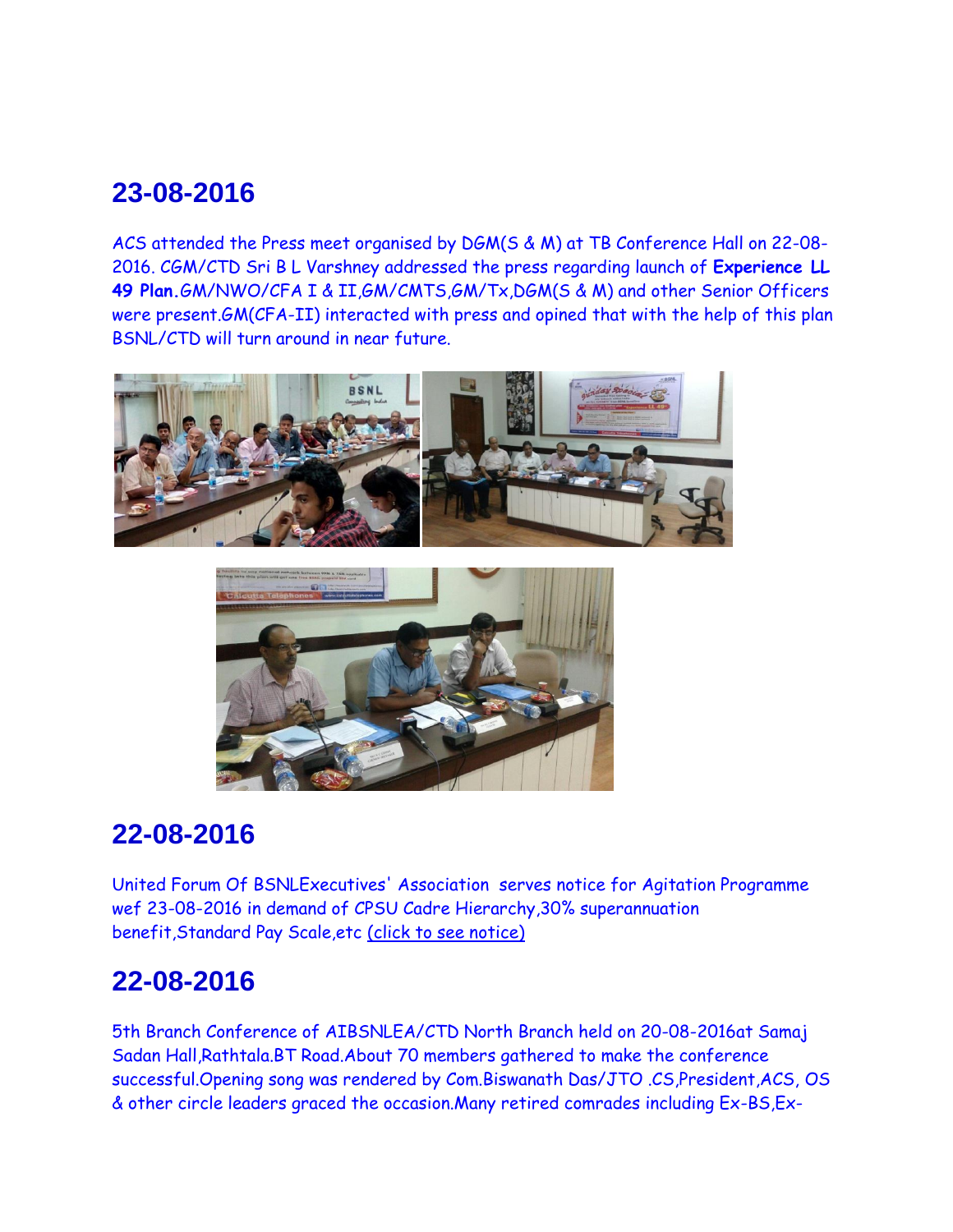ACS attended the Press meet organised by DGM(S & M) at TB Conference Hall on 22-08- 2016. CGM/CTD Sri B L Varshney addressed the press regarding launch of **Experience LL 49 Plan.**GM/NWO/CFA I & II,GM/CMTS,GM/Tx,DGM(S & M) and other Senior Officers were present.GM(CFA-II) interacted with press and opined that with the help of this plan BSNL/CTD will turn around in near future.





# **22-08-2016**

United Forum Of BSNLExecutives' Association serves notice for Agitation Programme wef 23-08-2016 in demand of CPSU Cadre Hierarchy,30% superannuation benefit,Standard Pay Scale,etc [\(click to see notice\)](http://www.aibsnleawb.org/230816.pdf)

## **22-08-2016**

5th Branch Conference of AIBSNLEA/CTD North Branch held on 20-08-2016at Samaj Sadan Hall,Rathtala.BT Road.About 70 members gathered to make the conference successful.Opening song was rendered by Com.Biswanath Das/JTO .CS,President,ACS, OS & other circle leaders graced the occasion.Many retired comrades including Ex-BS,Ex-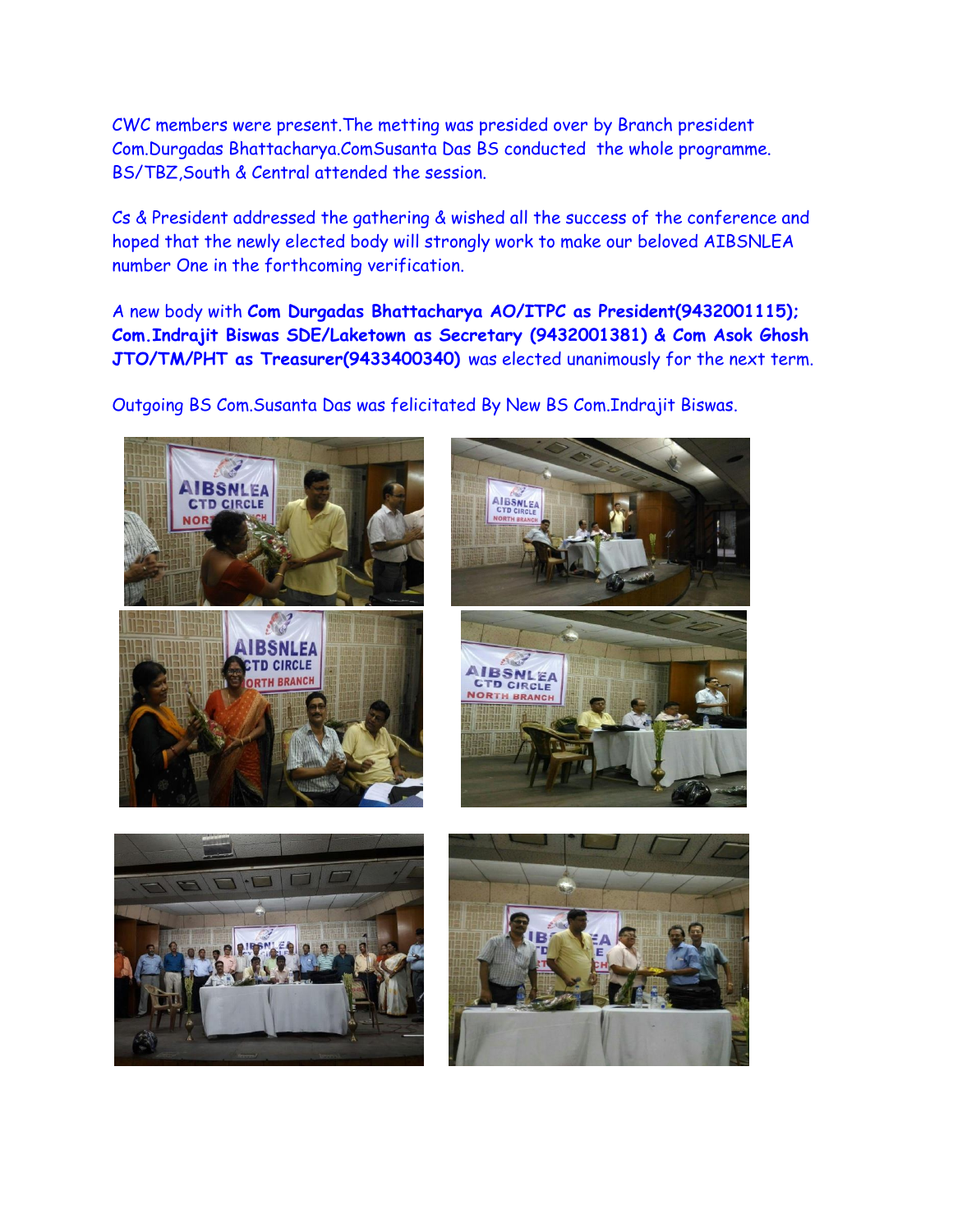CWC members were present.The metting was presided over by Branch president Com.Durgadas Bhattacharya.ComSusanta Das BS conducted the whole programme. BS/TBZ,South & Central attended the session.

Cs & President addressed the gathering & wished all the success of the conference and hoped that the newly elected body will strongly work to make our beloved AIBSNLEA number One in the forthcoming verification.

A new body with **Com Durgadas Bhattacharya AO/ITPC as President(9432001115); Com.Indrajit Biswas SDE/Laketown as Secretary (9432001381) & Com Asok Ghosh JTO/TM/PHT as Treasurer(9433400340)** was elected unanimously for the next term.

Outgoing BS Com.Susanta Das was felicitated By New BS Com.Indrajit Biswas.

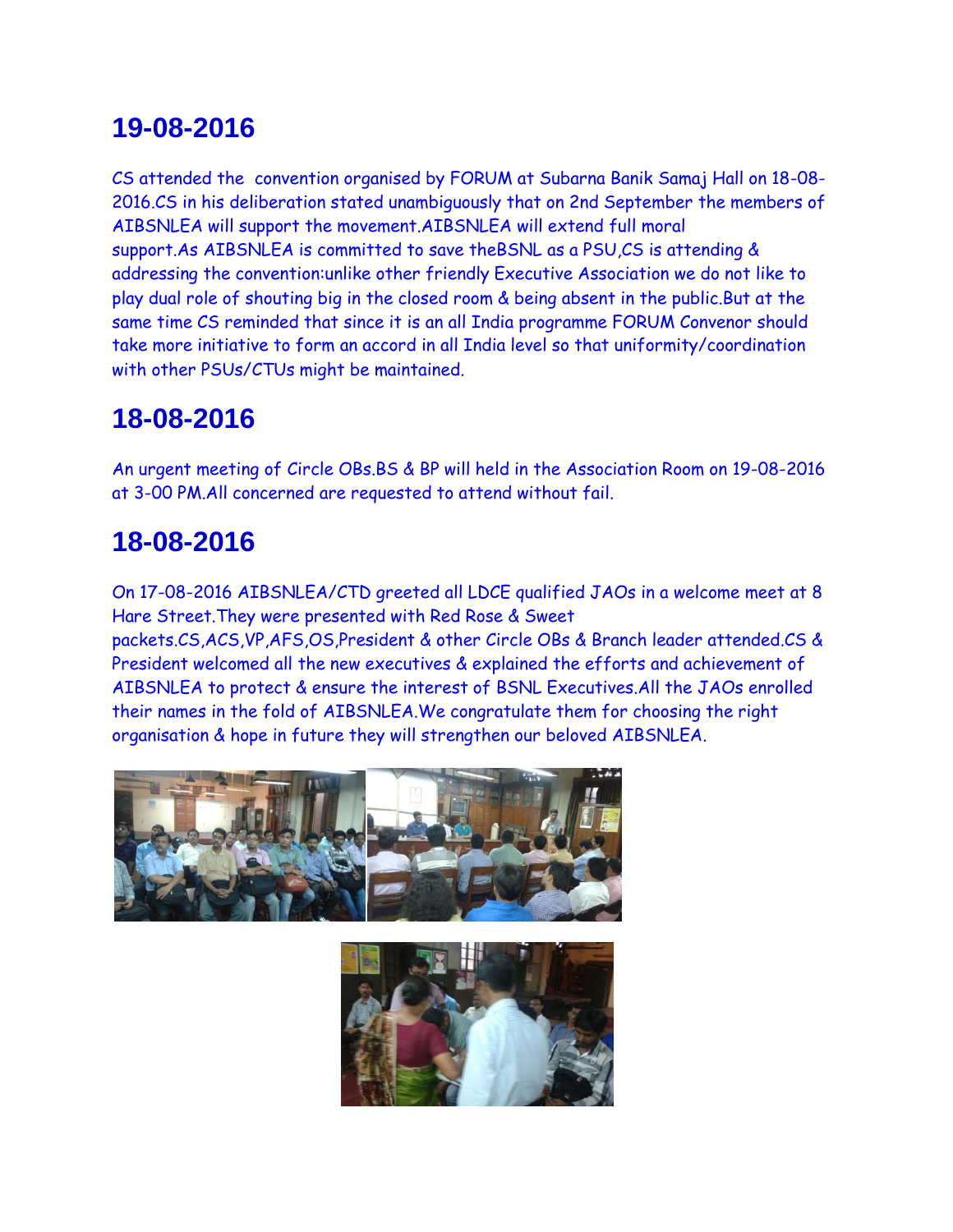CS attended the convention organised by FORUM at Subarna Banik Samaj Hall on 18-08- 2016.CS in his deliberation stated unambiguously that on 2nd September the members of AIBSNLEA will support the movement.AIBSNLEA will extend full moral support.As AIBSNLEA is committed to save theBSNL as a PSU,CS is attending & addressing the convention:unlike other friendly Executive Association we do not like to play dual role of shouting big in the closed room & being absent in the public.But at the same time CS reminded that since it is an all India programme FORUM Convenor should take more initiative to form an accord in all India level so that uniformity/coordination with other PSUs/CTUs might be maintained.

# **18-08-2016**

An urgent meeting of Circle OBs.BS & BP will held in the Association Room on 19-08-2016 at 3-00 PM.All concerned are requested to attend without fail.

# **18-08-2016**

On 17-08-2016 AIBSNLEA/CTD greeted all LDCE qualified JAOs in a welcome meet at 8 Hare Street.They were presented with Red Rose & Sweet packets.CS,ACS,VP,AFS,OS,President & other Circle OBs & Branch leader attended.CS & President welcomed all the new executives & explained the efforts and achievement of AIBSNLEA to protect & ensure the interest of BSNL Executives.All the JAOs enrolled their names in the fold of AIBSNLEA.We congratulate them for choosing the right organisation & hope in future they will strengthen our beloved AIBSNLEA.



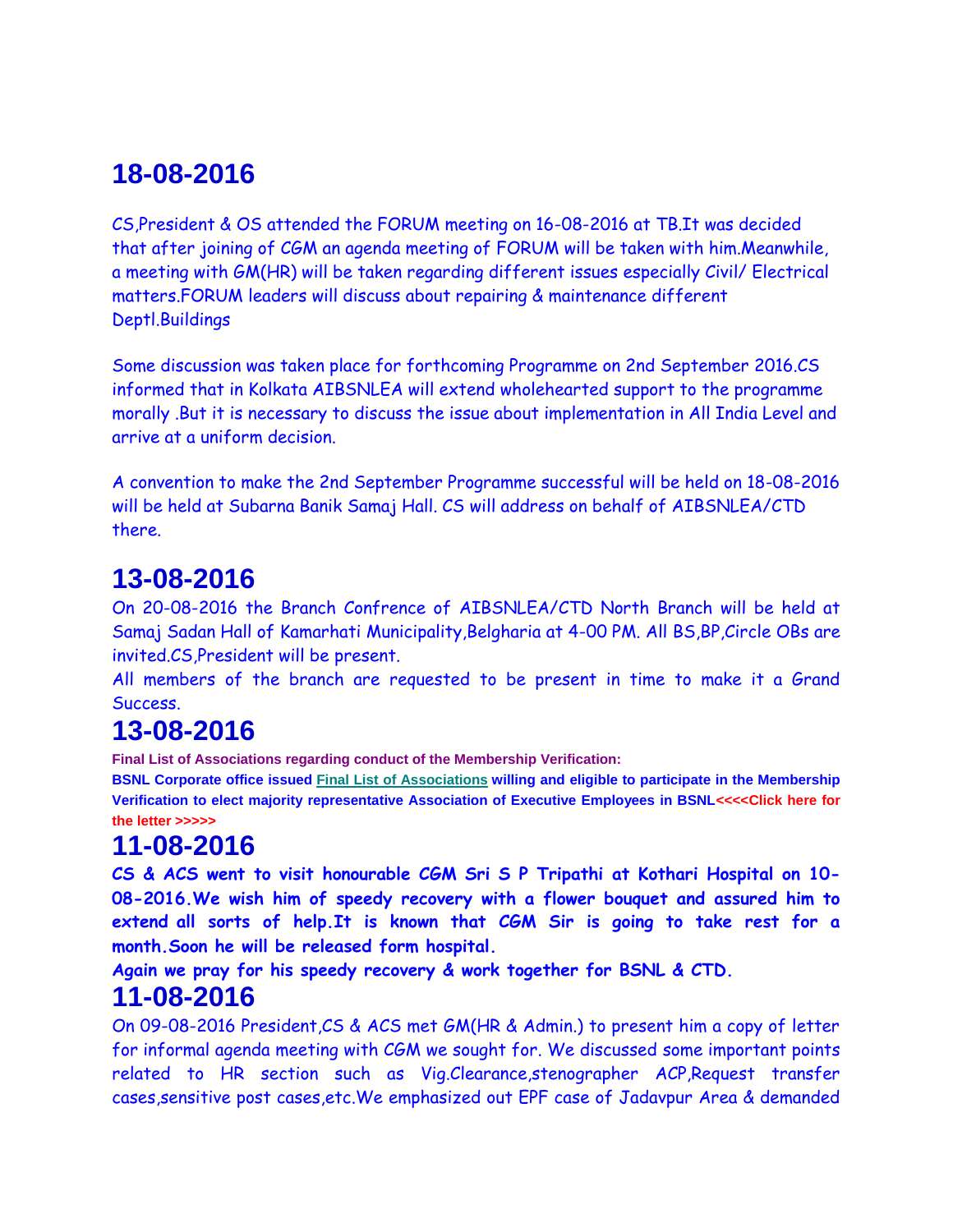CS,President & OS attended the FORUM meeting on 16-08-2016 at TB.It was decided that after joining of CGM an agenda meeting of FORUM will be taken with him.Meanwhile, a meeting with GM(HR) will be taken regarding different issues especially Civil/ Electrical matters.FORUM leaders will discuss about repairing & maintenance different Deptl.Buildings

Some discussion was taken place for forthcoming Programme on 2nd September 2016.CS informed that in Kolkata AIBSNLEA will extend wholehearted support to the programme morally .But it is necessary to discuss the issue about implementation in All India Level and arrive at a uniform decision.

A convention to make the 2nd September Programme successful will be held on 18-08-2016 will be held at Subarna Banik Samaj Hall. CS will address on behalf of AIBSNLEA/CTD there.

## **13-08-2016**

On 20-08-2016 the Branch Confrence of AIBSNLEA/CTD North Branch will be held at Samaj Sadan Hall of Kamarhati Municipality,Belgharia at 4-00 PM. All BS,BP,Circle OBs are invited.CS,President will be present.

All members of the branch are requested to be present in time to make it a Grand Success.

# **13-08-2016**

**Final List of Associations regarding conduct of the Membership Verification:**

**BSNL Corporate office issued Final List of Associations willing and eligible to participate in the Membership Verification to elect majority representative Association of Executive Employees in BSN[L<<<<Click here for](http://www.aibsnleachq.in/1EMV12816.pdf)  [the letter >>>>>](http://www.aibsnleachq.in/1EMV12816.pdf)**

# **11-08-2016**

**CS & ACS went to visit honourable CGM Sri S P Tripathi at Kothari Hospital on 10- 08-2016.We wish him of speedy recovery with a flower bouquet and assured him to extend all sorts of help.It is known that CGM Sir is going to take rest for a month.Soon he will be released form hospital.**

**Again we pray for his speedy recovery & work together for BSNL & CTD.**

### **11-08-2016**

On 09-08-2016 President,CS & ACS met GM(HR & Admin.) to present him a copy of letter for informal agenda meeting with CGM we sought for. We discussed some important points related to HR section such as Vig.Clearance,stenographer ACP,Request transfer cases,sensitive post cases,etc.We emphasized out EPF case of Jadavpur Area & demanded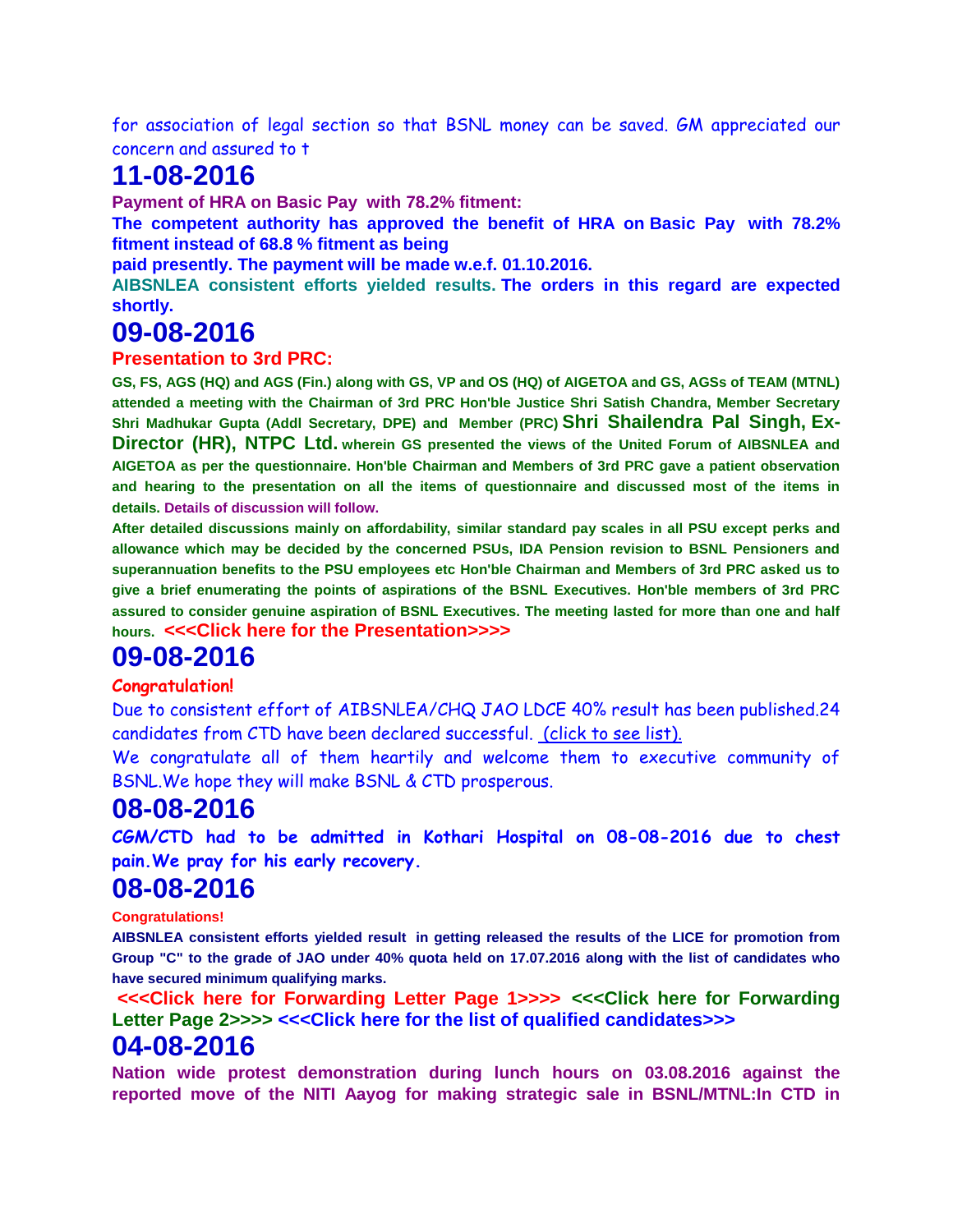for association of legal section so that BSNL money can be saved. GM appreciated our concern and assured to t

## **11-08-2016**

**Payment of HRA on Basic Pay with 78.2% fitment:**

**The competent authority has approved the benefit of HRA on Basic Pay with 78.2% fitment instead of 68.8 % fitment as being**

**paid presently. The payment will be made w.e.f. 01.10.2016.**

**AIBSNLEA consistent efforts yielded results. The orders in this regard are expected shortly.**

### **09-08-2016**

#### **Presentation to 3rd PRC:**

**GS, FS, AGS (HQ) and AGS (Fin.) along with GS, VP and OS (HQ) of AIGETOA and GS, AGSs of TEAM (MTNL) attended a meeting with the Chairman of 3rd PRC Hon'ble Justice Shri Satish Chandra, Member Secretary Shri Madhukar Gupta (Addl Secretary, DPE) and Member (PRC) Shri Shailendra Pal Singh, Ex-Director (HR), NTPC Ltd. wherein GS presented the views of the United Forum of AIBSNLEA and AIGETOA as per the questionnaire. Hon'ble Chairman and Members of 3rd PRC gave a patient observation and hearing to the presentation on all the items of questionnaire and discussed most of the items in details. Details of discussion will follow.**

**After detailed discussions mainly on affordability, similar standard pay scales in all PSU except perks and allowance which may be decided by the concerned PSUs, IDA Pension revision to BSNL Pensioners and superannuation benefits to the PSU employees etc Hon'ble Chairman and Members of 3rd PRC asked us to give a brief enumerating the points of aspirations of the BSNL Executives. Hon'ble members of 3rd PRC assured to consider genuine aspiration of BSNL Executives. The meeting lasted for more than one and half hours. [<<<Click here for the Presentation>>>>](http://www.aibsnleachq.in/PRC_AIBSNLEA.pdf)**

#### **09-08-2016**

#### **Congratulation!**

Due to consistent effort of AIBSNLEA/CHQ JAO LDCE 40% result has been published.24 candidates from CTD have been declared successful. [\(click to see list\).](http://www.aibsnleawb.org/JAO_LDCE_CTD.xlsx)

We congratulate all of them heartily and welcome them to executive community of BSNL.We hope they will make BSNL & CTD prosperous.

#### **08-08-2016**

**CGM/CTD had to be admitted in Kothari Hospital on 08-08-2016 due to chest pain.We pray for his early recovery.**

#### **08-08-2016**

**Congratulations!**

**AIBSNLEA consistent efforts yielded result in getting released the results of the LICE for promotion from Group "C" to the grade of JAO under 40% quota held on 17.07.2016 along with the list of candidates who have secured minimum qualifying marks.**

**[<<<Click here for Forwarding Letter Page 1>>>>](http://www.aibsnleachq.in/FRWD%201.pdf) [<<<Click here for Forwarding](http://www.aibsnleachq.in/FRWD%202.pdf)  [Letter Page 2>>>>](http://www.aibsnleachq.in/FRWD%202.pdf) [<<<Click here for the list of qualified candidates>>>](http://www.aibsnleachq.in/JAO%20CIRCLE%20WISE%20RESULT%20LIST.pdf)**

#### **04-08-2016**

**Nation wide protest demonstration during lunch hours on 03.08.2016 against the reported move of the NITI Aayog for making strategic sale in BSNL/MTNL:In CTD in**